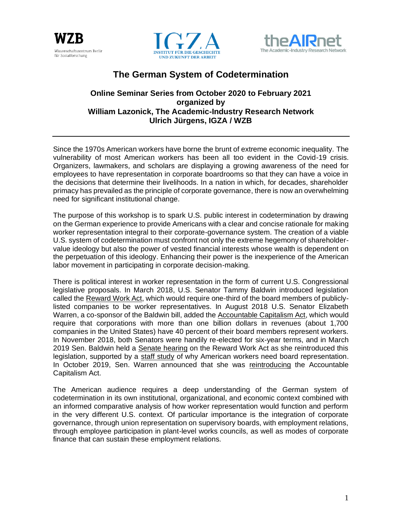





# **The German System of Codetermination**

### **Online Seminar Series from October 2020 to February 2021 organized by William Lazonick, The Academic-Industry Research Network Ulrich Jürgens, IGZA / WZB**

Since the 1970s American workers have borne the brunt of extreme economic inequality. The vulnerability of most American workers has been all too evident in the Covid-19 crisis. Organizers, lawmakers, and scholars are displaying a growing awareness of the need for employees to have representation in corporate boardrooms so that they can have a voice in the decisions that determine their livelihoods. In a nation in which, for decades, shareholder primacy has prevailed as the principle of corporate governance, there is now an overwhelming need for significant institutional change.

The purpose of this workshop is to spark U.S. public interest in codetermination by drawing on the German experience to provide Americans with a clear and concise rationale for making worker representation integral to their corporate-governance system. The creation of a viable U.S. system of codetermination must confront not only the extreme hegemony of shareholdervalue ideology but also the power of vested financial interests whose wealth is dependent on the perpetuation of this ideology. Enhancing their power is the inexperience of the American labor movement in participating in corporate decision-making.

There is political interest in worker representation in the form of current U.S. Congressional legislative proposals. In March 2018, U.S. Senator Tammy Baldwin introduced legislation called the [Reward Work Act,](about:blank) which would require one-third of the board members of publiclylisted companies to be worker representatives. In August 2018 U.S. Senator Elizabeth Warren, a co-sponsor of the Baldwin bill, added the [Accountable Capitalism Act,](about:blank) which would require that corporations with more than one billion dollars in revenues (about 1,700 companies in the United States) have 40 percent of their board members represent workers. In November 2018, both Senators were handily re-elected for six-year terms, and in March 2019 Sen. Baldwin held a [Senate hearing](about:blank) on the Reward Work Act as she reintroduced this legislation, supported by a [staff study](about:blank) of why American workers need board representation. In October 2019, Sen. Warren announced that she was [reintroducing](about:blank) the Accountable Capitalism Act.

The American audience requires a deep understanding of the German system of codetermination in its own institutional, organizational, and economic context combined with an informed comparative analysis of how worker representation would function and perform in the very different U.S. context. Of particular importance is the integration of corporate governance, through union representation on supervisory boards, with employment relations, through employee participation in plant-level works councils, as well as modes of corporate finance that can sustain these employment relations.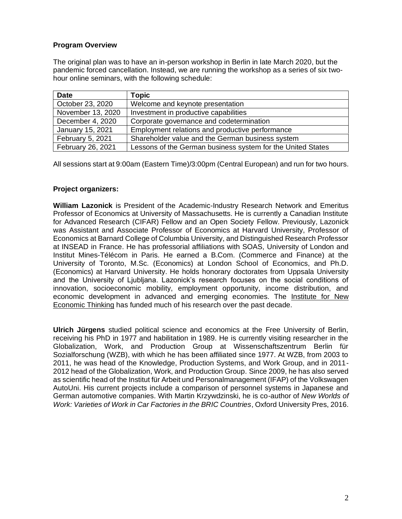#### **Program Overview**

The original plan was to have an in-person workshop in Berlin in late March 2020, but the pandemic forced cancellation. Instead, we are running the workshop as a series of six twohour online seminars, with the following schedule:

| <b>Date</b>       | <b>Topic</b>                                                |
|-------------------|-------------------------------------------------------------|
| October 23, 2020  | Welcome and keynote presentation                            |
| November 13, 2020 | Investment in productive capabilities                       |
| December 4, 2020  | Corporate governance and codetermination                    |
| January 15, 2021  | Employment relations and productive performance             |
| February 5, 2021  | Shareholder value and the German business system            |
| February 26, 2021 | Lessons of the German business system for the United States |

All sessions start at 9:00am (Eastern Time)/3:00pm (Central European) and run for two hours.

#### **Project organizers:**

**William Lazonick** is President of the Academic-Industry Research Network and Emeritus Professor of Economics at University of Massachusetts. He is currently a Canadian Institute for Advanced Research (CIFAR) Fellow and an Open Society Fellow. Previously, Lazonick was Assistant and Associate Professor of Economics at Harvard University, Professor of Economics at Barnard College of Columbia University, and Distinguished Research Professor at INSEAD in France. He has professorial affiliations with SOAS, University of London and Institut Mines-Télécom in Paris. He earned a B.Com. (Commerce and Finance) at the University of Toronto, M.Sc. (Economics) at London School of Economics, and Ph.D. (Economics) at Harvard University. He holds honorary doctorates from Uppsala University and the University of Ljubljana. Lazonick's research focuses on the social conditions of innovation, socioeconomic mobility, employment opportunity, income distribution, and economic development in advanced and emerging economies. The [Institute for New](about:blank)  [Economic Thinking](about:blank) has funded much of his research over the past decade.

**Ulrich Jürgens** studied political science and economics at the Free University of Berlin, receiving his PhD in 1977 and habilitation in 1989. He is currently visiting researcher in the Globalization, Work, and Production Group at Wissenschaftszentrum Berlin für Sozialforschung (WZB), with which he has been affiliated since 1977. At WZB, from 2003 to 2011, he was head of the Knowledge, Production Systems, and Work Group, and in 2011- 2012 head of the Globalization, Work, and Production Group. Since 2009, he has also served as scientific head of the Institut für Arbeit und Personalmanagement (IFAP) of the Volkswagen AutoUni. His current projects include a comparison of personnel systems in Japanese and German automotive companies. With Martin Krzywdzinski, he is co-author of *New Worlds of Work: Varieties of Work in Car Factories in the BRIC Countries*, Oxford University Pres, 2016.